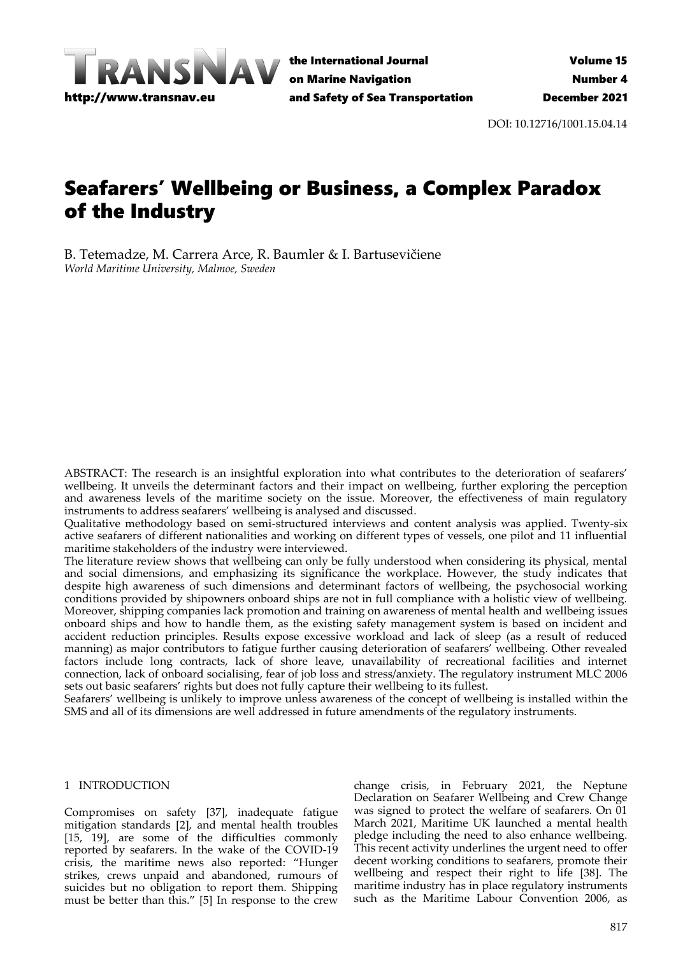

DOI: 10.12716/1001.15.04.14

# Seafarers' Wellbeing or Business, a Complex Paradox of the Industry

B. Tetemadze, M. Carrera Arce, R. Baumler & I. Bartusevičiene *World Maritime University, Malmoe, Sweden*

ABSTRACT: The research is an insightful exploration into what contributes to the deterioration of seafarers' wellbeing. It unveils the determinant factors and their impact on wellbeing, further exploring the perception and awareness levels of the maritime society on the issue. Moreover, the effectiveness of main regulatory instruments to address seafarers' wellbeing is analysed and discussed.

Qualitative methodology based on semi-structured interviews and content analysis was applied. Twenty-six active seafarers of different nationalities and working on different types of vessels, one pilot and 11 influential maritime stakeholders of the industry were interviewed.

The literature review shows that wellbeing can only be fully understood when considering its physical, mental and social dimensions, and emphasizing its significance the workplace. However, the study indicates that despite high awareness of such dimensions and determinant factors of wellbeing, the psychosocial working conditions provided by shipowners onboard ships are not in full compliance with a holistic view of wellbeing. Moreover, shipping companies lack promotion and training on awareness of mental health and wellbeing issues onboard ships and how to handle them, as the existing safety management system is based on incident and accident reduction principles. Results expose excessive workload and lack of sleep (as a result of reduced manning) as major contributors to fatigue further causing deterioration of seafarers' wellbeing. Other revealed factors include long contracts, lack of shore leave, unavailability of recreational facilities and internet connection, lack of onboard socialising, fear of job loss and stress/anxiety. The regulatory instrument MLC 2006 sets out basic seafarers' rights but does not fully capture their wellbeing to its fullest.

Seafarers' wellbeing is unlikely to improve unless awareness of the concept of wellbeing is installed within the SMS and all of its dimensions are well addressed in future amendments of the regulatory instruments.

## 1 INTRODUCTION

Compromises on safety [37], inadequate fatigue mitigation standards [2], and mental health troubles [15, 19], are some of the difficulties commonly reported by seafarers. In the wake of the COVID-19 crisis, the maritime news also reported: "Hunger strikes, crews unpaid and abandoned, rumours of suicides but no obligation to report them. Shipping must be better than this." [5] In response to the crew

change crisis, in February 2021, the Neptune Declaration on Seafarer Wellbeing and Crew Change was signed to protect the welfare of seafarers. On 01 March 2021, Maritime UK launched a mental health pledge including the need to also enhance wellbeing. This recent activity underlines the urgent need to offer decent working conditions to seafarers, promote their wellbeing and respect their right to life [38]. The maritime industry has in place regulatory instruments such as the Maritime Labour Convention 2006, as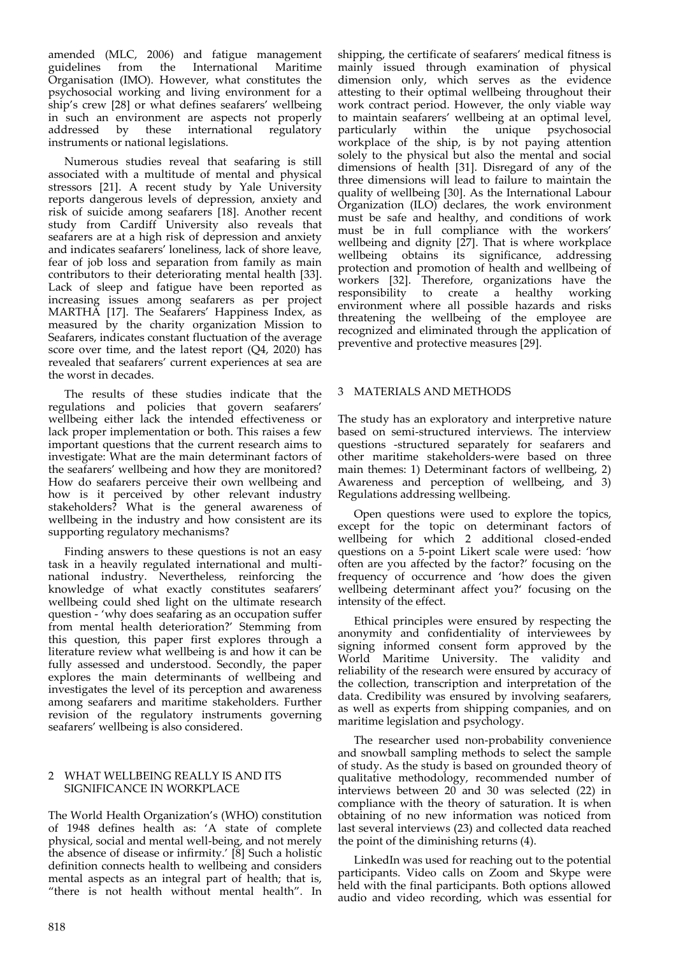amended (MLC, 2006) and fatigue management guidelines from the International Organisation (IMO). However, what constitutes the psychosocial working and living environment for a ship's crew [28] or what defines seafarers' wellbeing in such an environment are aspects not properly addressed by these international regulatory these international regulatory instruments or national legislations.

Numerous studies reveal that seafaring is still associated with a multitude of mental and physical stressors [21]. A recent study by Yale University reports dangerous levels of depression, anxiety and risk of suicide among seafarers [18]. Another recent study from Cardiff University also reveals that seafarers are at a high risk of depression and anxiety and indicates seafarers' loneliness, lack of shore leave, fear of job loss and separation from family as main contributors to their deteriorating mental health [33]. Lack of sleep and fatigue have been reported as increasing issues among seafarers as per project MARTHA [17]. The Seafarers' Happiness Index, as measured by the charity organization Mission to Seafarers, indicates constant fluctuation of the average score over time, and the latest report (Q4, 2020) has revealed that seafarers' current experiences at sea are the worst in decades.

The results of these studies indicate that the regulations and policies that govern seafarers' wellbeing either lack the intended effectiveness or lack proper implementation or both. This raises a few important questions that the current research aims to investigate: What are the main determinant factors of the seafarers' wellbeing and how they are monitored? How do seafarers perceive their own wellbeing and how is it perceived by other relevant industry stakeholders? What is the general awareness of wellbeing in the industry and how consistent are its supporting regulatory mechanisms?

Finding answers to these questions is not an easy task in a heavily regulated international and multinational industry. Nevertheless, reinforcing the knowledge of what exactly constitutes seafarers' wellbeing could shed light on the ultimate research question - 'why does seafaring as an occupation suffer from mental health deterioration?' Stemming from this question, this paper first explores through a literature review what wellbeing is and how it can be fully assessed and understood. Secondly, the paper explores the main determinants of wellbeing and investigates the level of its perception and awareness among seafarers and maritime stakeholders. Further revision of the regulatory instruments governing seafarers' wellbeing is also considered.

# 2 WHAT WELLBEING REALLY IS AND ITS SIGNIFICANCE IN WORKPLACE

The World Health Organization's (WHO) constitution of 1948 defines health as: 'A state of complete physical, social and mental well-being, and not merely the absence of disease or infirmity.' [8] Such a holistic definition connects health to wellbeing and considers mental aspects as an integral part of health; that is, "there is not health without mental health". In

shipping, the certificate of seafarers' medical fitness is mainly issued through examination of physical dimension only, which serves as the evidence attesting to their optimal wellbeing throughout their work contract period. However, the only viable way to maintain seafarers' wellbeing at an optimal level,<br>particularly within the unique psychosocial particularly within the unique psychosocial workplace of the ship, is by not paying attention solely to the physical but also the mental and social dimensions of health [31]. Disregard of any of the three dimensions will lead to failure to maintain the quality of wellbeing [30]. As the International Labour Organization (ILO) declares, the work environment must be safe and healthy, and conditions of work must be in full compliance with the workers' wellbeing and dignity  $[27]$ . That is where workplace wellbeing obtains its significance, addressing protection and promotion of health and wellbeing of workers [32]. Therefore, organizations have the responsibility to create a healthy working responsibility to create a healthy environment where all possible hazards and risks threatening the wellbeing of the employee are recognized and eliminated through the application of preventive and protective measures [29].

# 3 MATERIALS AND METHODS

The study has an exploratory and interpretive nature based on semi-structured interviews. The interview questions -structured separately for seafarers and other maritime stakeholders-were based on three main themes: 1) Determinant factors of wellbeing, 2) Awareness and perception of wellbeing, and 3) Regulations addressing wellbeing.

Open questions were used to explore the topics, except for the topic on determinant factors of wellbeing for which 2 additional closed-ended questions on a 5-point Likert scale were used: 'how often are you affected by the factor?' focusing on the frequency of occurrence and 'how does the given wellbeing determinant affect you?' focusing on the intensity of the effect.

Ethical principles were ensured by respecting the anonymity and confidentiality of interviewees by signing informed consent form approved by the World Maritime University. The validity and reliability of the research were ensured by accuracy of the collection, transcription and interpretation of the data. Credibility was ensured by involving seafarers, as well as experts from shipping companies, and on maritime legislation and psychology.

The researcher used non-probability convenience and snowball sampling methods to select the sample of study. As the study is based on grounded theory of qualitative methodology, recommended number of interviews between 20 and 30 was selected (22) in compliance with the theory of saturation. It is when obtaining of no new information was noticed from last several interviews (23) and collected data reached the point of the diminishing returns (4).

LinkedIn was used for reaching out to the potential participants. Video calls on Zoom and Skype were held with the final participants. Both options allowed audio and video recording, which was essential for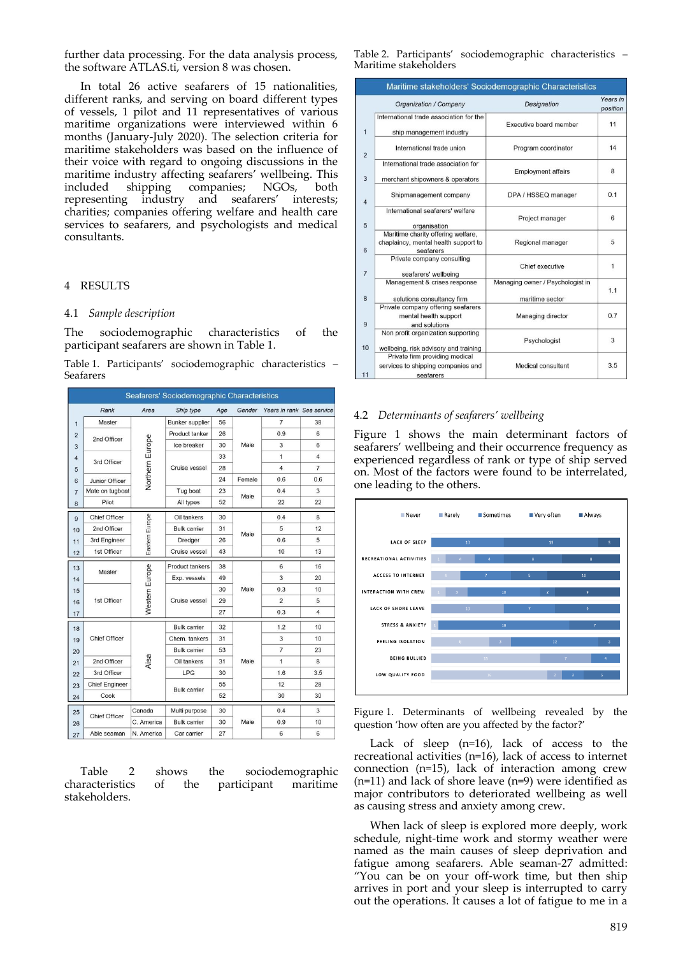further data processing. For the data analysis process, the software ATLAS.ti, version 8 was chosen.

In total 26 active seafarers of 15 nationalities, different ranks, and serving on board different types of vessels, 1 pilot and 11 representatives of various maritime organizations were interviewed within 6 months (January-July 2020). The selection criteria for maritime stakeholders was based on the influence of their voice with regard to ongoing discussions in the maritime industry affecting seafarers' wellbeing. This included shipping companies; NGOs, both representing industry and seafarers' interests; charities; companies offering welfare and health care services to seafarers, and psychologists and medical consultants.

#### 4 RESULTS

#### 4.1 *Sample description*

The sociodemographic characteristics of the participant seafarers are shown in Table 1.

Table 1. Participants' sociodemographic characteristics – Seafarers

| Seafarers' Sociodemographic Characteristics |                       |                 |                        |      |                |                           |                 |
|---------------------------------------------|-----------------------|-----------------|------------------------|------|----------------|---------------------------|-----------------|
|                                             | Rank                  | Area            | Ship type              | Age  | Gender         | Years in rank Sea service |                 |
| $\mathbf{1}$                                | Master                |                 | <b>Bunker</b> supplier | 56   |                | 7                         | 38              |
| $\overline{2}$                              | 2nd Officer           |                 | Product tanker         | 26   |                | 0.9                       | 6               |
| 3                                           |                       | Northern Europe | Ice breaker            | 30   | Male           | 3                         | 6               |
| $\overline{4}$                              | 3rd Officer           |                 |                        | 33   |                | 1                         | $\overline{4}$  |
| 5                                           |                       |                 | Cruise vessel          | 28   |                | $\overline{4}$            | $\overline{7}$  |
| 6                                           | Junior Officer        |                 |                        | 24   | Female         | 0.6                       | 0.6             |
| $\overline{7}$                              | Mate on tugboat       |                 | Tug boat               | 23   | Male           | 0.4                       | 3               |
| 8                                           | Pilot                 |                 | All types              | 52   |                | 22                        | 22              |
| 9                                           | <b>Chief Officer</b>  |                 | Oil tankers            | 30   |                | 0.4                       | 8               |
| 10                                          | 2nd Officer           | Eastern Europe  | <b>Bulk carrier</b>    | 31   | Male           | 5                         | 12              |
| 11                                          | 3rd Engineer          |                 | Dredger                | 26   |                | 0.6                       | 5               |
| 12                                          | 1st Officer           |                 | Cruise vessel          | 43   |                | 10                        | 13              |
| 13                                          |                       |                 | <b>Product tankers</b> | 38   |                | 6                         | 16              |
| 14                                          | Master                |                 | Exp. vessels           | 49   |                | 3                         | 20              |
| 15                                          |                       |                 |                        | 30   | Male           | 0.3                       | 10              |
| 16                                          | 1st Officer           | Western Europe  | Cruise vessel          | 29   |                | $\overline{2}$            | 5               |
| 17                                          |                       |                 |                        | 27   |                | 0.3                       | $\overline{4}$  |
| 18                                          |                       |                 | <b>Bulk carrier</b>    | 32   |                | 1.2                       | 10              |
| 19                                          | <b>Chief Officer</b>  |                 | Chem. tankers          | 31   |                | 3                         | 10              |
| 20                                          | Aisa<br>2nd Officer   |                 | <b>Bulk carrier</b>    | 53   |                | $\overline{7}$            | 23              |
| 21                                          |                       | Oil tankers     | 31                     | Male | $\overline{1}$ | 8                         |                 |
| 22                                          | 3rd Officer           |                 | <b>LPG</b>             | 30   |                | 1.6                       | 3.5             |
| 23                                          | <b>Chief Engineer</b> |                 | 55                     |      | 12             | 28                        |                 |
| 24                                          | Cook                  |                 | <b>Bulk carrier</b>    | 52   |                | 30                        | 30              |
| 25                                          | <b>Chief Officer</b>  | Canada          | Multi purpose          | 30   | Male           | 0.4                       | 3               |
| 26                                          |                       | C. America      | <b>Bulk carrier</b>    | 30   |                | 0.9                       | 10              |
| 27                                          | Able seaman           | N. America      | Car carrier            | 27   |                | 6                         | $6\phantom{.}6$ |

Table 2 shows the sociodemographic characteristics of the participant maritime stakeholders.

Table 2. Participants' sociodemographic characteristics – Maritime stakeholders

| Maritime stakeholders' Sociodemographic Characteristics |                                                                                         |                                                     |                      |  |  |  |  |  |  |
|---------------------------------------------------------|-----------------------------------------------------------------------------------------|-----------------------------------------------------|----------------------|--|--|--|--|--|--|
|                                                         | Organization / Company                                                                  | Designation                                         | Years in<br>position |  |  |  |  |  |  |
| $\mathbf{1}$                                            | International trade association for the<br>ship management industry                     | Executive board member                              | 11                   |  |  |  |  |  |  |
| $\overline{2}$                                          | International trade union                                                               | Program coordinator                                 | 14                   |  |  |  |  |  |  |
| 3                                                       | International trade association for<br>merchant shipowners & operators                  | <b>Employment affairs</b>                           | 8                    |  |  |  |  |  |  |
| $\overline{4}$                                          | Shipmanagement company                                                                  | DPA / HSSEQ manager                                 | 0.1                  |  |  |  |  |  |  |
| 5                                                       | International seafarers' welfare<br>organisation                                        | Project manager                                     | 6                    |  |  |  |  |  |  |
| 6                                                       | Maritime charity offering welfare,<br>chaplaincy, mental health support to<br>seafarers | Regional manager                                    | 5                    |  |  |  |  |  |  |
| $\overline{7}$                                          | Private company consulting<br>seafarers' wellbeing                                      | Chief executive                                     | 1                    |  |  |  |  |  |  |
| 8                                                       | Management & crises response<br>solutions consultancy firm                              | Managing owner / Psychologist in<br>maritime sector | 1.1                  |  |  |  |  |  |  |
| 9                                                       | Private company offering seafarers<br>mental health support<br>and solutions            | Managing director                                   | 0.7                  |  |  |  |  |  |  |
| 10                                                      | Non profit organization supporting<br>wellbeing, risk advisory and training             | Psychologist                                        | 3                    |  |  |  |  |  |  |
| 11                                                      | Private firm providing medical<br>services to shipping companies and<br>seafarers       | Medical consultant                                  | 3.5                  |  |  |  |  |  |  |

### 4.2 *Determinants of seafarers' wellbeing*

Figure 1 shows the main determinant factors of seafarers' wellbeing and their occurrence frequency as experienced regardless of rank or type of ship served on. Most of the factors were found to be interrelated, one leading to the others.



Figure 1. Determinants of wellbeing revealed by the question 'how often are you affected by the factor?'

Lack of sleep (n=16), lack of access to the recreational activities (n=16), lack of access to internet connection (n=15), lack of interaction among crew (n=11) and lack of shore leave (n=9) were identified as major contributors to deteriorated wellbeing as well as causing stress and anxiety among crew.

When lack of sleep is explored more deeply, work schedule, night-time work and stormy weather were named as the main causes of sleep deprivation and fatigue among seafarers. Able seaman-27 admitted: "You can be on your off-work time, but then ship arrives in port and your sleep is interrupted to carry out the operations. It causes a lot of fatigue to me in a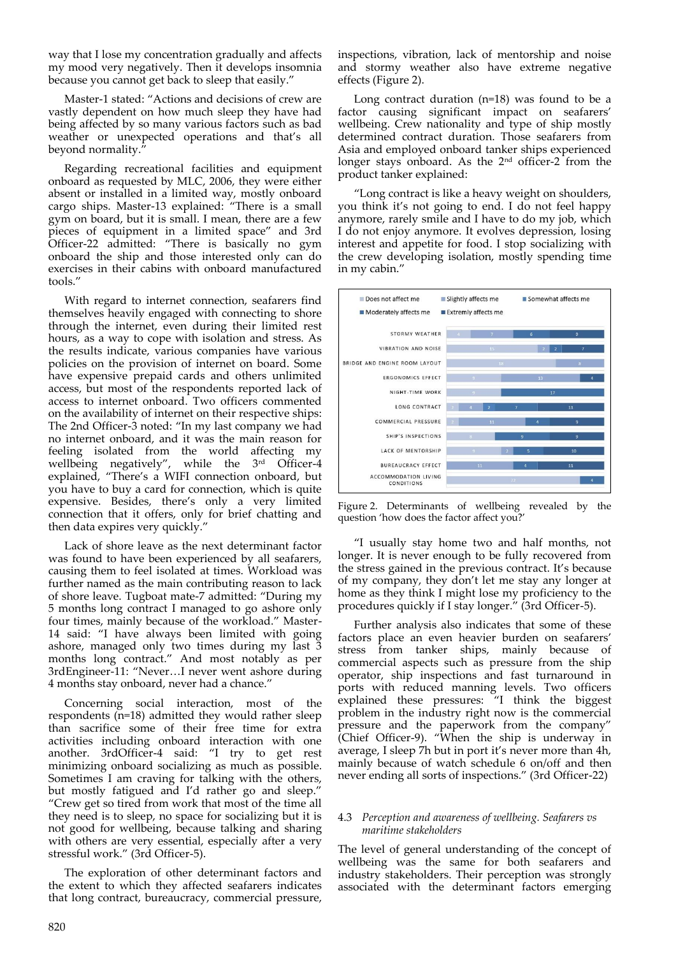way that I lose my concentration gradually and affects my mood very negatively. Then it develops insomnia because you cannot get back to sleep that easily."

Master-1 stated: "Actions and decisions of crew are vastly dependent on how much sleep they have had being affected by so many various factors such as bad weather or unexpected operations and that's all beyond normality.

Regarding recreational facilities and equipment onboard as requested by MLC, 2006, they were either absent or installed in a limited way, mostly onboard cargo ships. Master-13 explained: "There is a small gym on board, but it is small. I mean, there are a few pieces of equipment in a limited space" and 3rd Officer-22 admitted: "There is basically no gym onboard the ship and those interested only can do exercises in their cabins with onboard manufactured tools."

With regard to internet connection, seafarers find themselves heavily engaged with connecting to shore through the internet, even during their limited rest hours, as a way to cope with isolation and stress. As the results indicate, various companies have various policies on the provision of internet on board. Some have expensive prepaid cards and others unlimited access, but most of the respondents reported lack of access to internet onboard. Two officers commented on the availability of internet on their respective ships: The 2nd Officer-3 noted: "In my last company we had no internet onboard, and it was the main reason for feeling isolated from the world affecting my wellbeing negatively", while the 3rd Officer-4 explained, "There's a WIFI connection onboard, but you have to buy a card for connection, which is quite expensive. Besides, there's only a very limited connection that it offers, only for brief chatting and then data expires very quickly."

Lack of shore leave as the next determinant factor was found to have been experienced by all seafarers, causing them to feel isolated at times. Workload was further named as the main contributing reason to lack of shore leave. Tugboat mate-7 admitted: "During my 5 months long contract I managed to go ashore only four times, mainly because of the workload." Master-14 said: "I have always been limited with going ashore, managed only two times during my last 3 months long contract." And most notably as per 3rdEngineer-11: "Never…I never went ashore during 4 months stay onboard, never had a chance."

Concerning social interaction, most of the respondents (n=18) admitted they would rather sleep than sacrifice some of their free time for extra activities including onboard interaction with one another. 3rdOfficer-4 said: "I try to get rest minimizing onboard socializing as much as possible. Sometimes I am craving for talking with the others, but mostly fatigued and I'd rather go and sleep.' "Crew get so tired from work that most of the time all they need is to sleep, no space for socializing but it is not good for wellbeing, because talking and sharing with others are very essential, especially after a very stressful work." (3rd Officer-5).

The exploration of other determinant factors and the extent to which they affected seafarers indicates that long contract, bureaucracy, commercial pressure,

inspections, vibration, lack of mentorship and noise and stormy weather also have extreme negative effects (Figure 2).

Long contract duration (n=18) was found to be a factor causing significant impact on seafarers' wellbeing. Crew nationality and type of ship mostly determined contract duration. Those seafarers from Asia and employed onboard tanker ships experienced longer stays onboard. As the 2<sup>nd</sup> officer-2 from the product tanker explained:

"Long contract is like a heavy weight on shoulders, you think it's not going to end. I do not feel happy anymore, rarely smile and I have to do my job, which I do not enjoy anymore. It evolves depression, losing interest and appetite for food. I stop socializing with the crew developing isolation, mostly spending time in my cabin."





"I usually stay home two and half months, not longer. It is never enough to be fully recovered from the stress gained in the previous contract. It's because of my company, they don't let me stay any longer at home as they think I might lose my proficiency to the procedures quickly if I stay longer." (3rd Officer-5).

Further analysis also indicates that some of these factors place an even heavier burden on seafarers' stress from tanker ships, mainly because of commercial aspects such as pressure from the ship operator, ship inspections and fast turnaround in ports with reduced manning levels. Two officers explained these pressures: "I think the biggest problem in the industry right now is the commercial pressure and the paperwork from the company" (Chief Officer-9). "When the ship is underway in average, I sleep 7h but in port it's never more than 4h, mainly because of watch schedule 6 on/off and then never ending all sorts of inspections." (3rd Officer-22)

## 4.3 *Perception and awareness of wellbeing. Seafarers vs maritime stakeholders*

The level of general understanding of the concept of wellbeing was the same for both seafarers and industry stakeholders. Their perception was strongly associated with the determinant factors emerging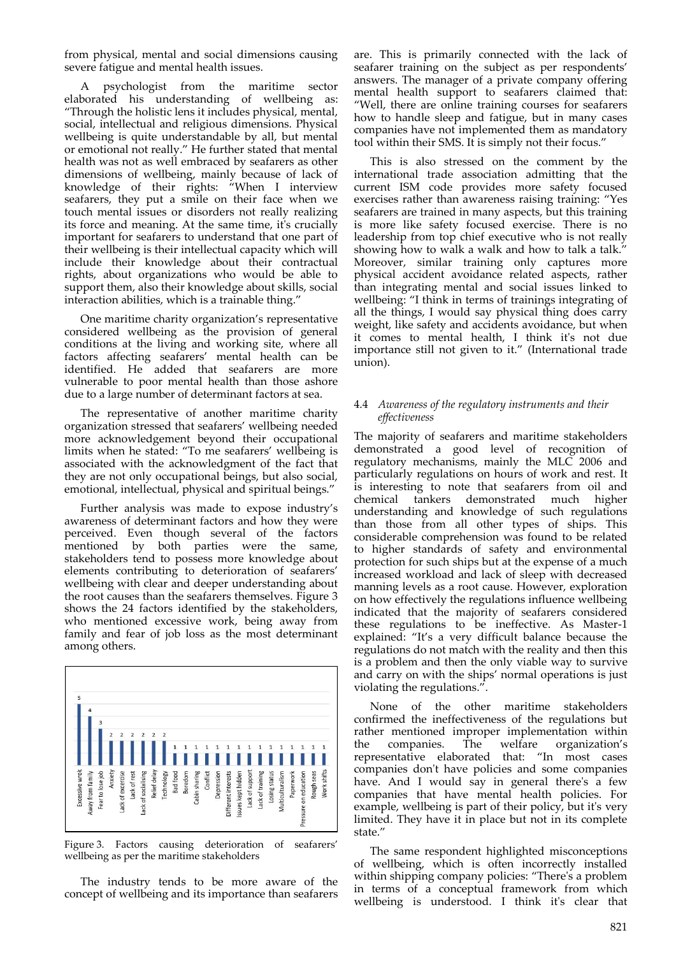from physical, mental and social dimensions causing severe fatigue and mental health issues.

A psychologist from the maritime sector elaborated his understanding of wellbeing as: "Through the holistic lens it includes physical, mental, social, intellectual and religious dimensions. Physical wellbeing is quite understandable by all, but mental or emotional not really." He further stated that mental health was not as well embraced by seafarers as other dimensions of wellbeing, mainly because of lack of knowledge of their rights: "When I interview seafarers, they put a smile on their face when we touch mental issues or disorders not really realizing its force and meaning. At the same time, it's crucially important for seafarers to understand that one part of their wellbeing is their intellectual capacity which will include their knowledge about their contractual rights, about organizations who would be able to support them, also their knowledge about skills, social interaction abilities, which is a trainable thing."

One maritime charity organization's representative considered wellbeing as the provision of general conditions at the living and working site, where all factors affecting seafarers' mental health can be identified. He added that seafarers are more vulnerable to poor mental health than those ashore due to a large number of determinant factors at sea.

The representative of another maritime charity organization stressed that seafarers' wellbeing needed more acknowledgement beyond their occupational limits when he stated: "To me seafarers' wellbeing is associated with the acknowledgment of the fact that they are not only occupational beings, but also social, emotional, intellectual, physical and spiritual beings."

Further analysis was made to expose industry's awareness of determinant factors and how they were perceived. Even though several of the factors mentioned by both parties were the same, stakeholders tend to possess more knowledge about elements contributing to deterioration of seafarers' wellbeing with clear and deeper understanding about the root causes than the seafarers themselves. Figure 3 shows the 24 factors identified by the stakeholders, who mentioned excessive work, being away from family and fear of job loss as the most determinant among others.



Figure 3. Factors causing deterioration of seafarers' wellbeing as per the maritime stakeholders

The industry tends to be more aware of the concept of wellbeing and its importance than seafarers

are. This is primarily connected with the lack of seafarer training on the subject as per respondents' answers. The manager of a private company offering mental health support to seafarers claimed that: "Well, there are online training courses for seafarers how to handle sleep and fatigue, but in many cases companies have not implemented them as mandatory tool within their SMS. It is simply not their focus."

This is also stressed on the comment by the international trade association admitting that the current ISM code provides more safety focused exercises rather than awareness raising training: "Yes seafarers are trained in many aspects, but this training is more like safety focused exercise. There is no leadership from top chief executive who is not really showing how to walk a walk and how to talk a talk." Moreover, similar training only captures more physical accident avoidance related aspects, rather than integrating mental and social issues linked to wellbeing: "I think in terms of trainings integrating of all the things, I would say physical thing does carry weight, like safety and accidents avoidance, but when it comes to mental health, I think it's not due importance still not given to it." (International trade union).

## 4.4 *Awareness of the regulatory instruments and their effectiveness*

The majority of seafarers and maritime stakeholders demonstrated a good level of recognition of regulatory mechanisms, mainly the MLC 2006 and particularly regulations on hours of work and rest. It is interesting to note that seafarers from oil and chemical tankers demonstrated much higher understanding and knowledge of such regulations than those from all other types of ships. This considerable comprehension was found to be related to higher standards of safety and environmental protection for such ships but at the expense of a much increased workload and lack of sleep with decreased manning levels as a root cause. However, exploration on how effectively the regulations influence wellbeing indicated that the majority of seafarers considered these regulations to be ineffective. As Master-1 explained: "It's a very difficult balance because the regulations do not match with the reality and then this is a problem and then the only viable way to survive and carry on with the ships' normal operations is just violating the regulations.".

None of the other maritime stakeholders confirmed the ineffectiveness of the regulations but rather mentioned improper implementation within the companies. The welfare organization's representative elaborated that: "In most cases companies don't have policies and some companies have. And I would say in general there's a few companies that have mental health policies. For example, wellbeing is part of their policy, but it's very limited. They have it in place but not in its complete state."

The same respondent highlighted misconceptions of wellbeing, which is often incorrectly installed within shipping company policies: "There's a problem in terms of a conceptual framework from which wellbeing is understood. I think it's clear that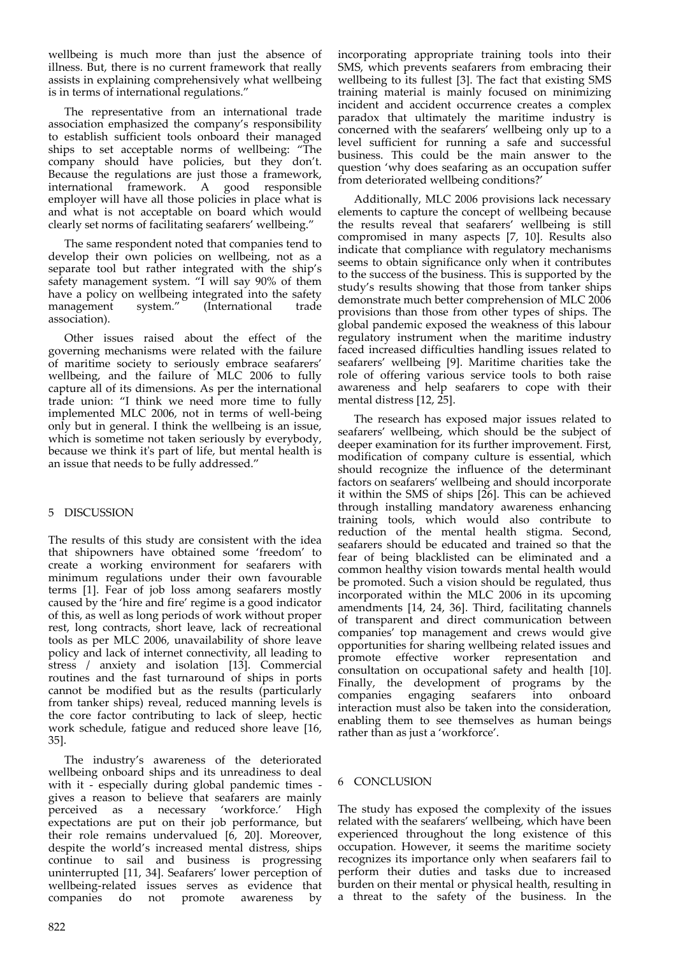wellbeing is much more than just the absence of illness. But, there is no current framework that really assists in explaining comprehensively what wellbeing is in terms of international regulations."

The representative from an international trade association emphasized the company's responsibility to establish sufficient tools onboard their managed ships to set acceptable norms of wellbeing: "The company should have policies, but they don't. Because the regulations are just those a framework, international framework. A good responsible employer will have all those policies in place what is and what is not acceptable on board which would clearly set norms of facilitating seafarers' wellbeing."

The same respondent noted that companies tend to develop their own policies on wellbeing, not as a separate tool but rather integrated with the ship's safety management system. "I will say 90% of them have a policy on wellbeing integrated into the safety management system." (International trade association).

Other issues raised about the effect of the governing mechanisms were related with the failure of maritime society to seriously embrace seafarers' wellbeing, and the failure of MLC 2006 to fully capture all of its dimensions. As per the international trade union: "I think we need more time to fully implemented MLC 2006, not in terms of well-being only but in general. I think the wellbeing is an issue, which is sometime not taken seriously by everybody, because we think it's part of life, but mental health is an issue that needs to be fully addressed."

# 5 DISCUSSION

The results of this study are consistent with the idea that shipowners have obtained some 'freedom' to create a working environment for seafarers with minimum regulations under their own favourable terms [1]. Fear of job loss among seafarers mostly caused by the 'hire and fire' regime is a good indicator of this, as well as long periods of work without proper rest, long contracts, short leave, lack of recreational tools as per MLC 2006, unavailability of shore leave policy and lack of internet connectivity, all leading to stress / anxiety and isolation [13]. Commercial routines and the fast turnaround of ships in ports cannot be modified but as the results (particularly from tanker ships) reveal, reduced manning levels is the core factor contributing to lack of sleep, hectic work schedule, fatigue and reduced shore leave [16, 35].

The industry's awareness of the deteriorated wellbeing onboard ships and its unreadiness to deal with it - especially during global pandemic times gives a reason to believe that seafarers are mainly<br>perceived as a necessary 'workforce.' High perceived as a necessary 'workforce.' expectations are put on their job performance, but their role remains undervalued [6, 20]. Moreover, despite the world's increased mental distress, ships continue to sail and business is progressing uninterrupted [11, 34]. Seafarers' lower perception of wellbeing-related issues serves as evidence that companies do not promote awareness by

Additionally, MLC 2006 provisions lack necessary elements to capture the concept of wellbeing because the results reveal that seafarers' wellbeing is still compromised in many aspects [7, 10]. Results also indicate that compliance with regulatory mechanisms seems to obtain significance only when it contributes to the success of the business. This is supported by the study's results showing that those from tanker ships demonstrate much better comprehension of MLC 2006 provisions than those from other types of ships. The global pandemic exposed the weakness of this labour regulatory instrument when the maritime industry faced increased difficulties handling issues related to seafarers' wellbeing [9]. Maritime charities take the role of offering various service tools to both raise awareness and help seafarers to cope with their mental distress [12, 25].

The research has exposed major issues related to seafarers' wellbeing, which should be the subject of deeper examination for its further improvement. First, modification of company culture is essential, which should recognize the influence of the determinant factors on seafarers' wellbeing and should incorporate it within the SMS of ships [26]. This can be achieved through installing mandatory awareness enhancing training tools, which would also contribute to reduction of the mental health stigma. Second, seafarers should be educated and trained so that the fear of being blacklisted can be eliminated and a common healthy vision towards mental health would be promoted. Such a vision should be regulated, thus incorporated within the MLC 2006 in its upcoming amendments [14, 24, 36]. Third, facilitating channels of transparent and direct communication between companies' top management and crews would give opportunities for sharing wellbeing related issues and promote effective worker representation and consultation on occupational safety and health [10]. Finally, the development of programs by the companies engaging seafarers into onboard companies engaging seafarers into onboard interaction must also be taken into the consideration, enabling them to see themselves as human beings rather than as just a 'workforce'.

# 6 CONCLUSION

The study has exposed the complexity of the issues related with the seafarers' wellbeing, which have been experienced throughout the long existence of this occupation. However, it seems the maritime society recognizes its importance only when seafarers fail to perform their duties and tasks due to increased burden on their mental or physical health, resulting in a threat to the safety of the business. In the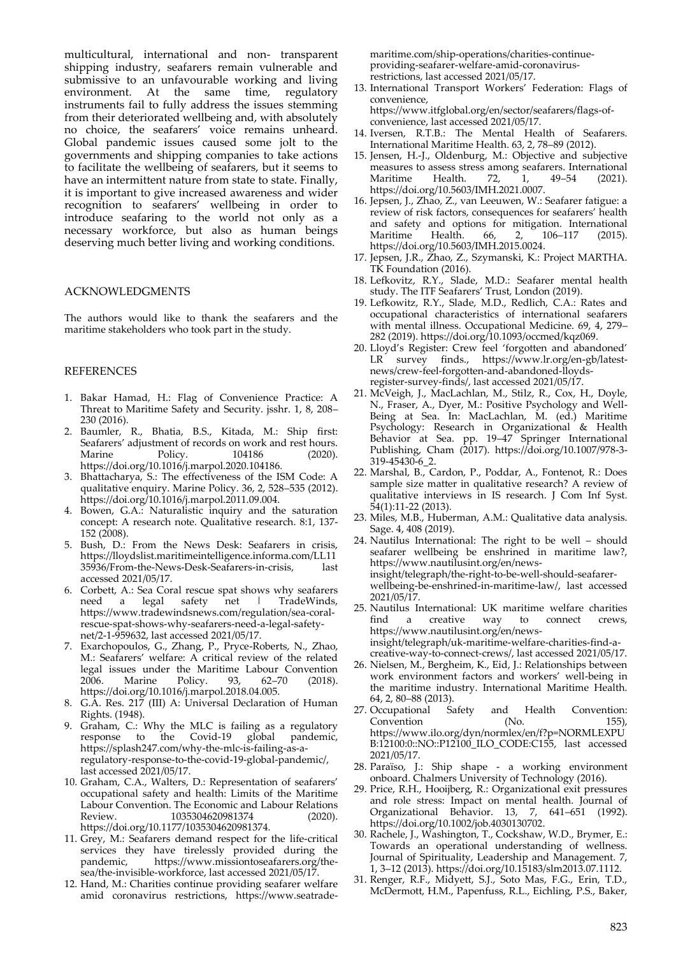multicultural, international and non- transparent shipping industry, seafarers remain vulnerable and submissive to an unfavourable working and living environment. At the same time, regulatory instruments fail to fully address the issues stemming from their deteriorated wellbeing and, with absolutely no choice, the seafarers' voice remains unheard. Global pandemic issues caused some jolt to the governments and shipping companies to take actions to facilitate the wellbeing of seafarers, but it seems to have an intermittent nature from state to state. Finally, it is important to give increased awareness and wider recognition to seafarers' wellbeing in order to introduce seafaring to the world not only as a necessary workforce, but also as human beings deserving much better living and working conditions.

## ACKNOWLEDGMENTS

The authors would like to thank the seafarers and the maritime stakeholders who took part in the study.

#### **REFERENCES**

- 1. Bakar Hamad, H.: Flag of Convenience Practice: A Threat to Maritime Safety and Security. jsshr. 1, 8, 208– 230 (2016).
- 2. Baumler, R., Bhatia, B.S., Kitada, M.: Ship first: Seafarers' adjustment of records on work and rest hours. Marine Policy. 104186 (2020). https://doi.org/10.1016/j.marpol.2020.104186.
- 3. Bhattacharya, S.: The effectiveness of the ISM Code: A qualitative enquiry. Marine Policy. 36, 2, 528–535 (2012). https://doi.org/10.1016/j.marpol.2011.09.004.
- 4. Bowen, G.A.: Naturalistic inquiry and the saturation concept: A research note. Qualitative research. 8:1, 137- 152 (2008).
- 5. Bush, D.: From the News Desk: Seafarers in crisis, https://lloydslist.maritimeintelligence.informa.com/LL11 35936/From-the-News-Desk-Seafarers-in-crisis, last accessed 2021/05/17.
- 6. Corbett, A.: Sea Coral rescue spat shows why seafarers<br>need a legal safety net | TradeWinds, TradeWinds, https://www.tradewindsnews.com/regulation/sea-coralrescue-spat-shows-why-seafarers-need-a-legal-safetynet/2-1-959632, last accessed 2021/05/17.
- 7. Exarchopoulos, G., Zhang, P., Pryce-Roberts, N., Zhao, M.: Seafarers' welfare: A critical review of the related legal issues under the Maritime Labour Convention 2006. Marine Policy. 93, 62–70 (2018). https://doi.org/10.1016/j.marpol.2018.04.005.
- 8. G.A. Res. 217 (III) A: Universal Declaration of Human Rights. (1948).
- 9. Graham, C.: Why the MLC is failing as a regulatory response to the Covid-19 global pandemic, https://splash247.com/why-the-mlc-is-failing-as-aregulatory-response-to-the-covid-19-global-pandemic/, last accessed 2021/05/17.
- 10. Graham, C.A., Walters, D.: Representation of seafarers' occupational safety and health: Limits of the Maritime Labour Convention. The Economic and Labour Relations Review. 1035304620981374 (2020). https://doi.org/10.1177/1035304620981374.
- 11. Grey, M.: Seafarers demand respect for the life-critical services they have tirelessly provided during the pandemic, https://www.missiontoseafarers.org/thehttps://www.missiontoseafarers.org/thesea/the-invisible-workforce, last accessed 2021/05/17.
- 12. Hand, M.: Charities continue providing seafarer welfare amid coronavirus restrictions, https://www.seatrade-

maritime.com/ship-operations/charities-continueproviding-seafarer-welfare-amid-coronavirusrestrictions, last accessed 2021/05/17.

13. International Transport Workers' Federation: Flags of convenience,

https://www.itfglobal.org/en/sector/seafarers/flags-ofconvenience, last accessed 2021/05/17.

- 14. Iversen, R.T.B.: The Mental Health of Seafarers. International Maritime Health. 63, 2, 78–89 (2012).
- 15. Jensen, H.-J., Oldenburg, M.: Objective and subjective measures to assess stress among seafarers. International Maritime Health. 72, 1, 49–54 (2021). Maritime Health. 72, 1, 49–54 (2021). https://doi.org/10.5603/IMH.2021.0007.
- 16. Jepsen, J., Zhao, Z., van Leeuwen, W.: Seafarer fatigue: a review of risk factors, consequences for seafarers' health and safety and options for mitigation. International Maritime Health. 66, 2, 106-117 (2015). Maritime Health. 66, 2, 106–117 (2015). https://doi.org/10.5603/IMH.2015.0024.
- 17. Jepsen, J.R., Zhao, Z., Szymanski, K.: Project MARTHA. TK Foundation (2016).
- 18. Lefkovitz, R.Y., Slade, M.D.: Seafarer mental health study. The ITF Seafarers' Trust, London (2019).
- 19. Lefkowitz, R.Y., Slade, M.D., Redlich, C.A.: Rates and occupational characteristics of international seafarers with mental illness. Occupational Medicine. 69, 4, 279– 282 (2019). https://doi.org/10.1093/occmed/kqz069.
- 20. Lloyd's Register: Crew feel 'forgotten and abandoned' finds., https://www.lr.org/en-gb/latestnews/crew-feel-forgotten-and-abandoned-lloydsregister-survey-finds/, last accessed 2021/05/17.
- 21. McVeigh, J., MacLachlan, M., Stilz, R., Cox, H., Doyle, N., Fraser, A., Dyer, M.: Positive Psychology and Well-Being at Sea. In: MacLachlan, M. (ed.) Maritime Psychology: Research in Organizational & Health Behavior at Sea. pp. 19–47 Springer International Publishing, Cham (2017). https://doi.org/10.1007/978-3- 319-45430-6\_2.
- 22. Marshal, B., Cardon, P., Poddar, A., Fontenot, R.: Does sample size matter in qualitative research? A review of qualitative interviews in IS research. J Com Inf Syst. 54(1):11-22 (2013).
- 23. Miles, M.B., Huberman, A.M.: Qualitative data analysis. Sage. 4, 408 (2019).
- 24. Nautilus International: The right to be well should seafarer wellbeing be enshrined in maritime law?, https://www.nautilusint.org/en/newsinsight/telegraph/the-right-to-be-well-should-seafarerwellbeing-be-enshrined-in-maritime-law/, last accessed 2021/05/17.
- 25. Nautilus International: UK maritime welfare charities a creative way to connect crews, https://www.nautilusint.org/en/newsinsight/telegraph/uk-maritime-welfare-charities-find-acreative-way-to-connect-crews/, last accessed 2021/05/17.
- 26. Nielsen, M., Bergheim, K., Eid, J.: Relationships between work environment factors and workers' well-being in the maritime industry. International Maritime Health.
- 64, 2, 80–88 (2013). 27. Occupational Safety and Health Convention: Convention (No. 155), https://www.ilo.org/dyn/normlex/en/f?p=NORMLEXPU B:12100:0::NO::P12100\_ILO\_CODE:C155, last accessed 2021/05/17.
- 28. Paraïso, J.: Ship shape a working environment onboard. Chalmers University of Technology (2016).
- 29. Price, R.H., Hooijberg, R.: Organizational exit pressures and role stress: Impact on mental health. Journal of Organizational Behavior. 13, 7, 641–651 (1992). https://doi.org/10.1002/job.4030130702.
- 30. Rachele, J., Washington, T., Cockshaw, W.D., Brymer, E.: Towards an operational understanding of wellness. Journal of Spirituality, Leadership and Management. 7, 1, 3–12 (2013). https://doi.org/10.15183/slm2013.07.1112.
- 31. Renger, R.F., Midyett, S.J., Soto Mas, F.G., Erin, T.D., McDermott, H.M., Papenfuss, R.L., Eichling, P.S., Baker,